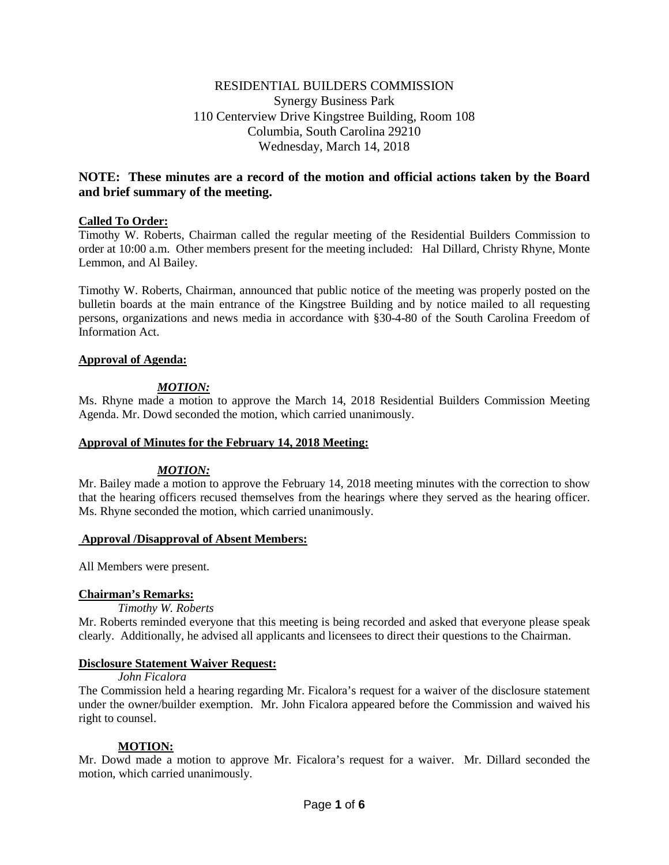# RESIDENTIAL BUILDERS COMMISSION Synergy Business Park 110 Centerview Drive Kingstree Building, Room 108 Columbia, South Carolina 29210 Wednesday, March 14, 2018

# **NOTE: These minutes are a record of the motion and official actions taken by the Board and brief summary of the meeting.**

### **Called To Order:**

Timothy W. Roberts, Chairman called the regular meeting of the Residential Builders Commission to order at 10:00 a.m. Other members present for the meeting included: Hal Dillard, Christy Rhyne, Monte Lemmon, and Al Bailey.

Timothy W. Roberts, Chairman, announced that public notice of the meeting was properly posted on the bulletin boards at the main entrance of the Kingstree Building and by notice mailed to all requesting persons, organizations and news media in accordance with §30-4-80 of the South Carolina Freedom of Information Act.

### **Approval of Agenda:**

## *MOTION:*

Ms. Rhyne made a motion to approve the March 14, 2018 Residential Builders Commission Meeting Agenda. Mr. Dowd seconded the motion, which carried unanimously.

### **Approval of Minutes for the February 14, 2018 Meeting:**

### *MOTION:*

Mr. Bailey made a motion to approve the February 14, 2018 meeting minutes with the correction to show that the hearing officers recused themselves from the hearings where they served as the hearing officer. Ms. Rhyne seconded the motion, which carried unanimously.

### **Approval /Disapproval of Absent Members:**

All Members were present.

### **Chairman's Remarks:**

*Timothy W. Roberts*

Mr. Roberts reminded everyone that this meeting is being recorded and asked that everyone please speak clearly. Additionally, he advised all applicants and licensees to direct their questions to the Chairman.

### **Disclosure Statement Waiver Request:**

*John Ficalora*

The Commission held a hearing regarding Mr. Ficalora's request for a waiver of the disclosure statement under the owner/builder exemption. Mr. John Ficalora appeared before the Commission and waived his right to counsel.

### **MOTION:**

Mr. Dowd made a motion to approve Mr. Ficalora's request for a waiver. Mr. Dillard seconded the motion, which carried unanimously.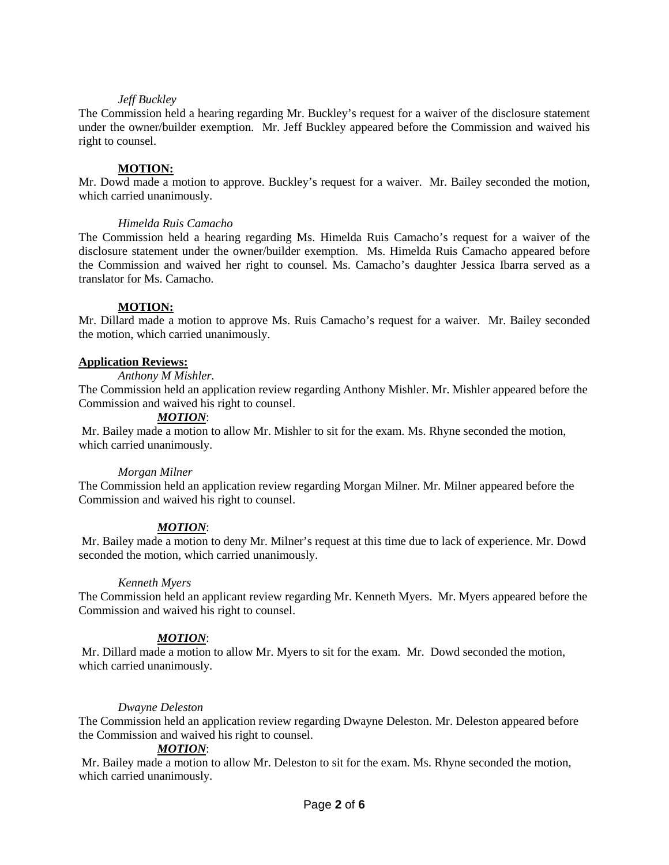### *Jeff Buckley*

The Commission held a hearing regarding Mr. Buckley's request for a waiver of the disclosure statement under the owner/builder exemption. Mr. Jeff Buckley appeared before the Commission and waived his right to counsel.

### **MOTION:**

Mr. Dowd made a motion to approve. Buckley's request for a waiver. Mr. Bailey seconded the motion, which carried unanimously.

### *Himelda Ruis Camacho*

The Commission held a hearing regarding Ms. Himelda Ruis Camacho's request for a waiver of the disclosure statement under the owner/builder exemption. Ms. Himelda Ruis Camacho appeared before the Commission and waived her right to counsel. Ms. Camacho's daughter Jessica Ibarra served as a translator for Ms. Camacho.

## **MOTION:**

Mr. Dillard made a motion to approve Ms. Ruis Camacho's request for a waiver. Mr. Bailey seconded the motion, which carried unanimously.

### **Application Reviews:**

*Anthony M Mishler.* 

The Commission held an application review regarding Anthony Mishler. Mr. Mishler appeared before the Commission and waived his right to counsel.

## *MOTION*:

Mr. Bailey made a motion to allow Mr. Mishler to sit for the exam. Ms. Rhyne seconded the motion, which carried unanimously.

### *Morgan Milner*

The Commission held an application review regarding Morgan Milner. Mr. Milner appeared before the Commission and waived his right to counsel.

## *MOTION*:

Mr. Bailey made a motion to deny Mr. Milner's request at this time due to lack of experience. Mr. Dowd seconded the motion, which carried unanimously.

### *Kenneth Myers*

The Commission held an applicant review regarding Mr. Kenneth Myers. Mr. Myers appeared before the Commission and waived his right to counsel.

## *MOTION*:

Mr. Dillard made a motion to allow Mr. Myers to sit for the exam. Mr. Dowd seconded the motion, which carried unanimously.

### *Dwayne Deleston*

The Commission held an application review regarding Dwayne Deleston. Mr. Deleston appeared before the Commission and waived his right to counsel.

### *MOTION*:

Mr. Bailey made a motion to allow Mr. Deleston to sit for the exam. Ms. Rhyne seconded the motion, which carried unanimously.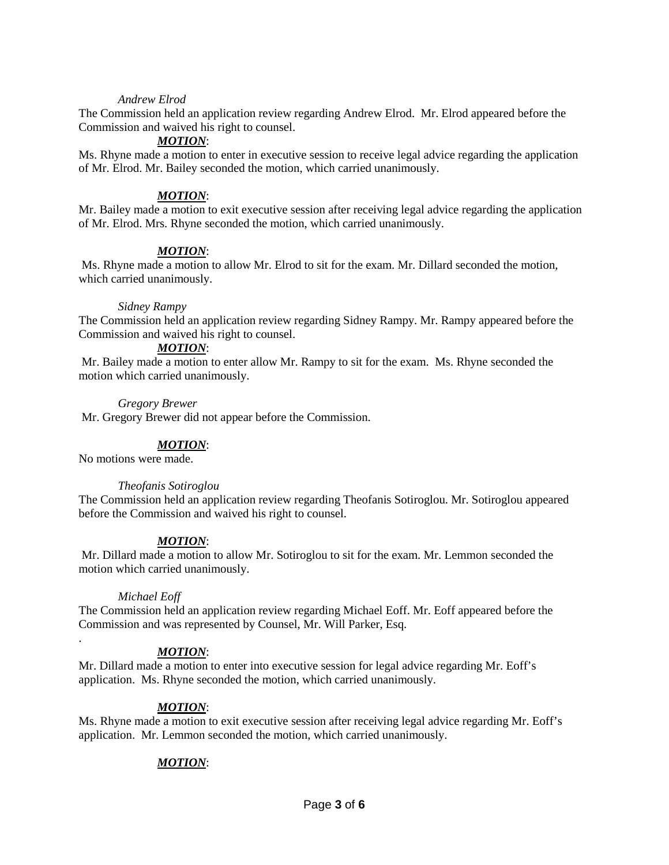### *Andrew Elrod*

The Commission held an application review regarding Andrew Elrod. Mr. Elrod appeared before the Commission and waived his right to counsel.

## *MOTION*:

Ms. Rhyne made a motion to enter in executive session to receive legal advice regarding the application of Mr. Elrod. Mr. Bailey seconded the motion, which carried unanimously.

### *MOTION*:

Mr. Bailey made a motion to exit executive session after receiving legal advice regarding the application of Mr. Elrod. Mrs. Rhyne seconded the motion, which carried unanimously.

### *MOTION*:

Ms. Rhyne made a motion to allow Mr. Elrod to sit for the exam. Mr. Dillard seconded the motion, which carried unanimously.

### *Sidney Rampy*

The Commission held an application review regarding Sidney Rampy. Mr. Rampy appeared before the Commission and waived his right to counsel.

## *MOTION*:

Mr. Bailey made a motion to enter allow Mr. Rampy to sit for the exam. Ms. Rhyne seconded the motion which carried unanimously.

### *Gregory Brewer*

Mr. Gregory Brewer did not appear before the Commission.

### *MOTION*:

No motions were made.

### *Theofanis Sotiroglou*

The Commission held an application review regarding Theofanis Sotiroglou. Mr. Sotiroglou appeared before the Commission and waived his right to counsel.

### *MOTION*:

Mr. Dillard made a motion to allow Mr. Sotiroglou to sit for the exam. Mr. Lemmon seconded the motion which carried unanimously.

### *Michael Eoff*

.

The Commission held an application review regarding Michael Eoff. Mr. Eoff appeared before the Commission and was represented by Counsel, Mr. Will Parker, Esq.

## *MOTION*:

Mr. Dillard made a motion to enter into executive session for legal advice regarding Mr. Eoff's application. Ms. Rhyne seconded the motion, which carried unanimously.

### *MOTION*:

Ms. Rhyne made a motion to exit executive session after receiving legal advice regarding Mr. Eoff's application. Mr. Lemmon seconded the motion, which carried unanimously.

## *MOTION*: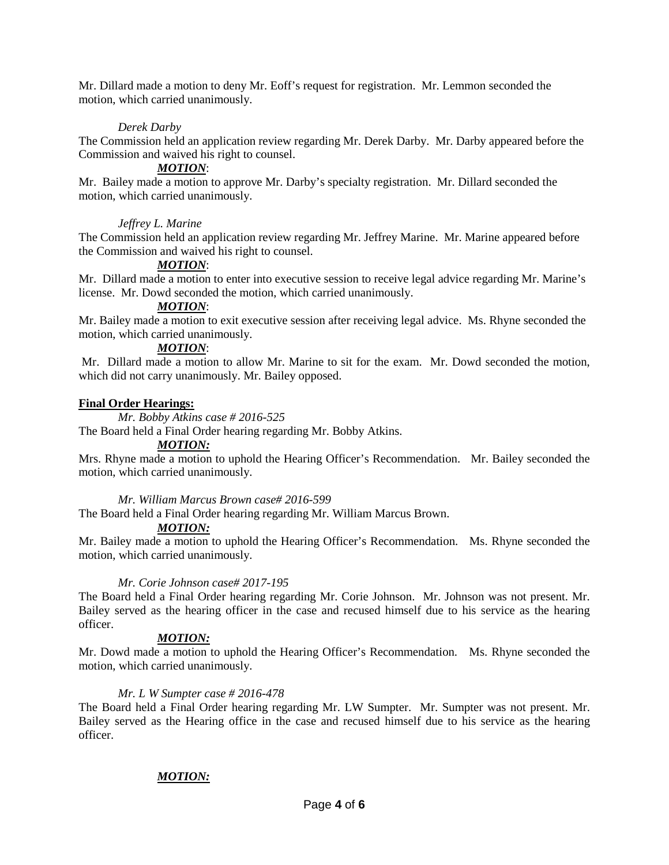Mr. Dillard made a motion to deny Mr. Eoff's request for registration. Mr. Lemmon seconded the motion, which carried unanimously.

## *Derek Darby*

The Commission held an application review regarding Mr. Derek Darby. Mr. Darby appeared before the Commission and waived his right to counsel.

## *MOTION*:

Mr. Bailey made a motion to approve Mr. Darby's specialty registration. Mr. Dillard seconded the motion, which carried unanimously.

### *Jeffrey L. Marine*

The Commission held an application review regarding Mr. Jeffrey Marine. Mr. Marine appeared before the Commission and waived his right to counsel.

### *MOTION*:

Mr. Dillard made a motion to enter into executive session to receive legal advice regarding Mr. Marine's license. Mr. Dowd seconded the motion, which carried unanimously.

### *MOTION*:

Mr. Bailey made a motion to exit executive session after receiving legal advice. Ms. Rhyne seconded the motion, which carried unanimously.

## *MOTION*:

Mr. Dillard made a motion to allow Mr. Marine to sit for the exam. Mr. Dowd seconded the motion, which did not carry unanimously. Mr. Bailey opposed.

### **Final Order Hearings:**

*Mr. Bobby Atkins case # 2016-525*

The Board held a Final Order hearing regarding Mr. Bobby Atkins.

# *MOTION:*

Mrs. Rhyne made a motion to uphold the Hearing Officer's Recommendation. Mr. Bailey seconded the motion, which carried unanimously.

### *Mr. William Marcus Brown case# 2016-599*

The Board held a Final Order hearing regarding Mr. William Marcus Brown.

### *MOTION:*

Mr. Bailey made a motion to uphold the Hearing Officer's Recommendation. Ms. Rhyne seconded the motion, which carried unanimously.

### *Mr. Corie Johnson case# 2017-195*

The Board held a Final Order hearing regarding Mr. Corie Johnson. Mr. Johnson was not present. Mr. Bailey served as the hearing officer in the case and recused himself due to his service as the hearing officer.

### *MOTION:*

Mr. Dowd made a motion to uphold the Hearing Officer's Recommendation. Ms. Rhyne seconded the motion, which carried unanimously.

### *Mr. L W Sumpter case # 2016-478*

The Board held a Final Order hearing regarding Mr. LW Sumpter. Mr. Sumpter was not present. Mr. Bailey served as the Hearing office in the case and recused himself due to his service as the hearing officer.

### *MOTION:*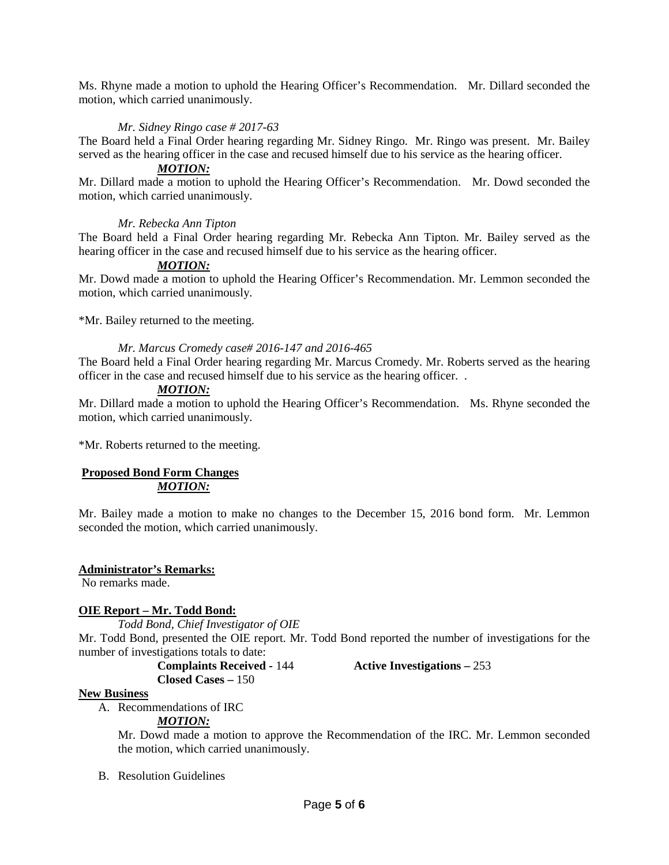Ms. Rhyne made a motion to uphold the Hearing Officer's Recommendation. Mr. Dillard seconded the motion, which carried unanimously.

## *Mr. Sidney Ringo case # 2017-63*

The Board held a Final Order hearing regarding Mr. Sidney Ringo. Mr. Ringo was present. Mr. Bailey served as the hearing officer in the case and recused himself due to his service as the hearing officer.

### *MOTION:*

Mr. Dillard made a motion to uphold the Hearing Officer's Recommendation. Mr. Dowd seconded the motion, which carried unanimously.

### *Mr. Rebecka Ann Tipton*

The Board held a Final Order hearing regarding Mr. Rebecka Ann Tipton. Mr. Bailey served as the hearing officer in the case and recused himself due to his service as the hearing officer.

### *MOTION:*

Mr. Dowd made a motion to uphold the Hearing Officer's Recommendation. Mr. Lemmon seconded the motion, which carried unanimously.

\*Mr. Bailey returned to the meeting.

### *Mr. Marcus Cromedy case# 2016-147 and 2016-465*

The Board held a Final Order hearing regarding Mr. Marcus Cromedy. Mr. Roberts served as the hearing officer in the case and recused himself due to his service as the hearing officer. .

#### *MOTION:*

Mr. Dillard made a motion to uphold the Hearing Officer's Recommendation. Ms. Rhyne seconded the motion, which carried unanimously.

\*Mr. Roberts returned to the meeting.

### **Proposed Bond Form Changes** *MOTION:*

Mr. Bailey made a motion to make no changes to the December 15, 2016 bond form. Mr. Lemmon seconded the motion, which carried unanimously.

### **Administrator's Remarks:**

No remarks made.

### **OIE Report – Mr. Todd Bond:**

*Todd Bond, Chief Investigator of OIE*

Mr. Todd Bond, presented the OIE report. Mr. Todd Bond reported the number of investigations for the number of investigations totals to date:

**Complaints Received -** 144 **Active Investigations –** 253

### **Closed Cases –** 150

**New Business**

A. Recommendations of IRC

## *MOTION:*

Mr. Dowd made a motion to approve the Recommendation of the IRC. Mr. Lemmon seconded the motion, which carried unanimously.

B. Resolution Guidelines